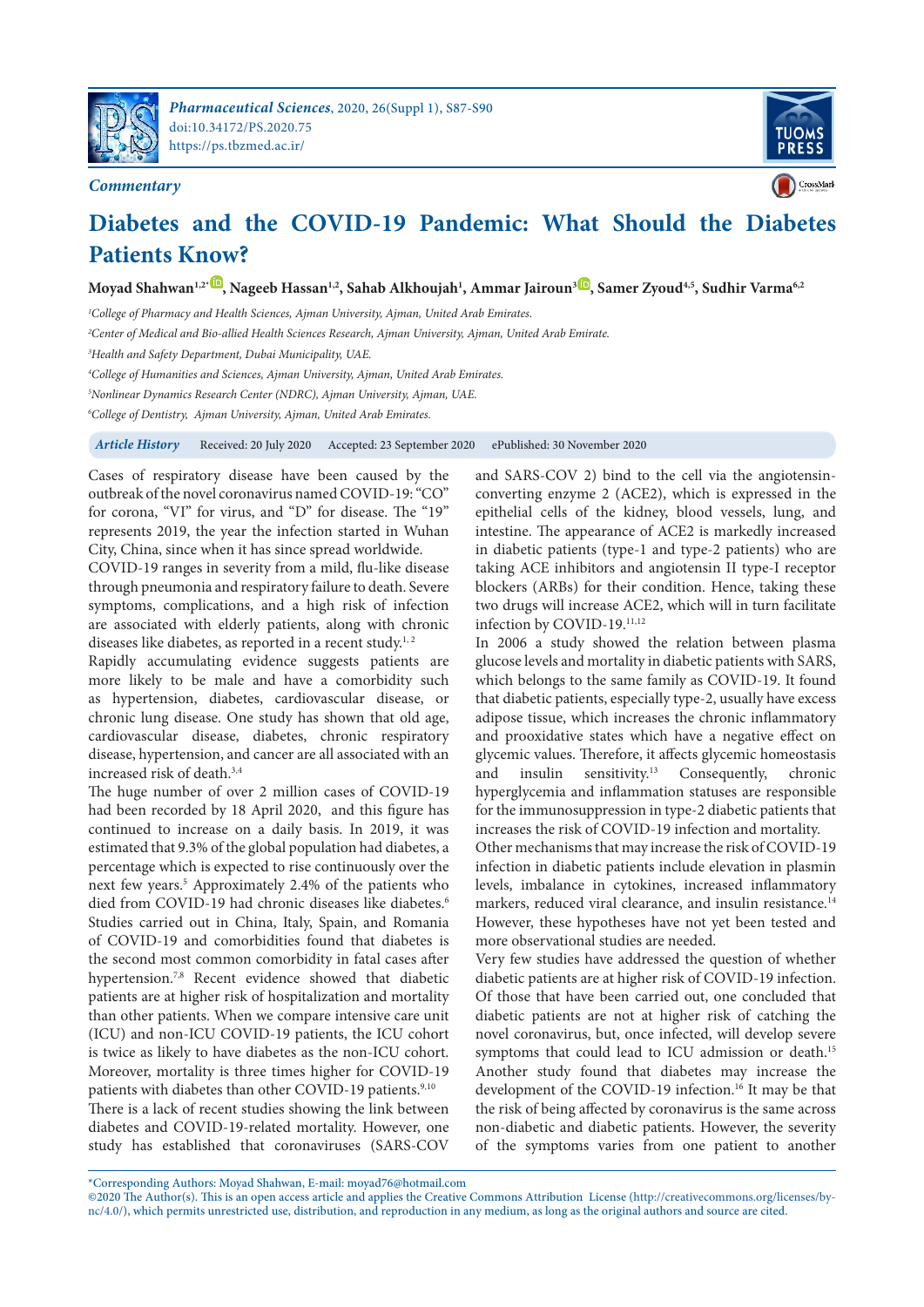

**Commentary**



## **Diabetes and the COVID-19 Pandemic: What Should the Diabetes Patients Know?**

**Moyad Shahwan1,2\* , Nageeb Hassan1,2, Sahab Alkhoujah<sup>1</sup> , Ammar Jairoun<sup>3</sup> , Samer Zyoud4,5, Sudhir Varma6,2**

<sup>1</sup>College of Pharmacy and Health Sciences, Ajman University, Ajman, United Arab Emirates.

<sup>2</sup>Center of Medical and Bio-allied Health Sciences Research, Ajman University, Ajman, United Arab Emirate.

<sup>3</sup>Health and Safety Department, Dubai Municipality, UAE.

<sup>4</sup>College of Humanities and Sciences, Ajman University, Ajman, United Arab Emirates.

<sup>5</sup>Nonlinear Dynamics Research Center (NDRC), Ajman University, Ajman, UAE.

<sup>6</sup>College of Dentistry, Ajman University, Ajman, United Arab Emirates.

**Article History** Received: 20 July 2020 Accepted: 23 September 2020 ePublished: 30 November 2020

Cases of respiratory disease have been caused by the outbreak of the novel coronavirus named COVID-19: "CO" for corona, "VI" for virus, and "D" for disease. The "19" represents 2019, the year the infection started in Wuhan City, China, since when it has since spread worldwide.

COVID-19 ranges in severity from a mild, flu-like disease through pneumonia and respiratory failure to death. Severe symptoms, complications, and a high risk of infection are associated with elderly patients, along with chronic diseases like diabetes, as reported in a recent study.<sup>1, 2</sup>

Rapidly accumulating evidence suggests patients are more likely to be male and have a comorbidity such as hypertension, diabetes, cardiovascular disease, or chronic lung disease. One study has shown that old age, cardiovascular disease, diabetes, chronic respiratory disease, hypertension, and cancer are all associated with an increased risk of death.3,4

The huge number of over 2 million cases of COVID-19 had been recorded by 18 April 2020, and this figure has continued to increase on a daily basis. In 2019, it was estimated that 9.3% of the global population had diabetes, a percentage which is expected to rise continuously over the next few years.<sup>5</sup> Approximately 2.4% of the patients who died from COVID-19 had chronic diseases like diabetes.<sup>6</sup> Studies carried out in China, Italy, Spain, and Romania of COVID-19 and comorbidities found that diabetes is the second most common comorbidity in fatal cases after hypertension.<sup>7,8</sup> Recent evidence showed that diabetic patients are at higher risk of hospitalization and mortality than other patients. When we compare intensive care unit (ICU) and non-ICU COVID-19 patients, the ICU cohort is twice as likely to have diabetes as the non-ICU cohort. Moreover, mortality is three times higher for COVID-19 patients with diabetes than other COVID-19 patients.<sup>9,10</sup>

There is a lack of recent studies showing the link between diabetes and COVID-19-related mortality. However, one study has established that coronaviruses (SARS-COV and SARS-COV 2) bind to the cell via the angiotensinconverting enzyme 2 (ACE2), which is expressed in the epithelial cells of the kidney, blood vessels, lung, and intestine. The appearance of ACE2 is markedly increased in diabetic patients (type-1 and type-2 patients) who are taking ACE inhibitors and angiotensin II type-I receptor blockers (ARBs) for their condition. Hence, taking these two drugs will increase ACE2, which will in turn facilitate infection by COVID-19.<sup>11,12</sup>

In 2006 a study showed the relation between plasma glucose levels and mortality in diabetic patients with SARS, which belongs to the same family as COVID-19. It found that diabetic patients, especially type-2, usually have excess adipose tissue, which increases the chronic inflammatory and prooxidative states which have a negative effect on glycemic values. Therefore, it affects glycemic homeostasis<br>and insulin sensitivity.<sup>13</sup> Consequently, chronic and insulin sensitivity.<sup>13</sup> Consequently, chronic hyperglycemia and inflammation statuses are responsible for the immunosuppression in type-2 diabetic patients that increases the risk of COVID-19 infection and mortality.

Other mechanisms that may increase the risk of COVID-19 infection in diabetic patients include elevation in plasmin levels, imbalance in cytokines, increased inflammatory markers, reduced viral clearance, and insulin resistance.<sup>14</sup> However, these hypotheses have not yet been tested and more observational studies are needed.

Very few studies have addressed the question of whether diabetic patients are at higher risk of COVID-19 infection. Of those that have been carried out, one concluded that diabetic patients are not at higher risk of catching the novel coronavirus, but, once infected, will develop severe symptoms that could lead to ICU admission or death.<sup>15</sup> Another study found that diabetes may increase the development of the COVID-19 infection.<sup>16</sup> It may be that the risk of being affected by coronavirus is the same across non-diabetic and diabetic patients. However, the severity of the symptoms varies from one patient to another

\*Corresponding Authors: Moyad Shahwan, E-mail: moyad76@hotmail.com

©2020 The Author(s). This is an open access article and applies the Creative Commons Attribution License (http://creativecommons.org/licenses/bync/4.0/), which permits unrestricted use, distribution, and reproduction in any medium, as long as the original authors and source are cited.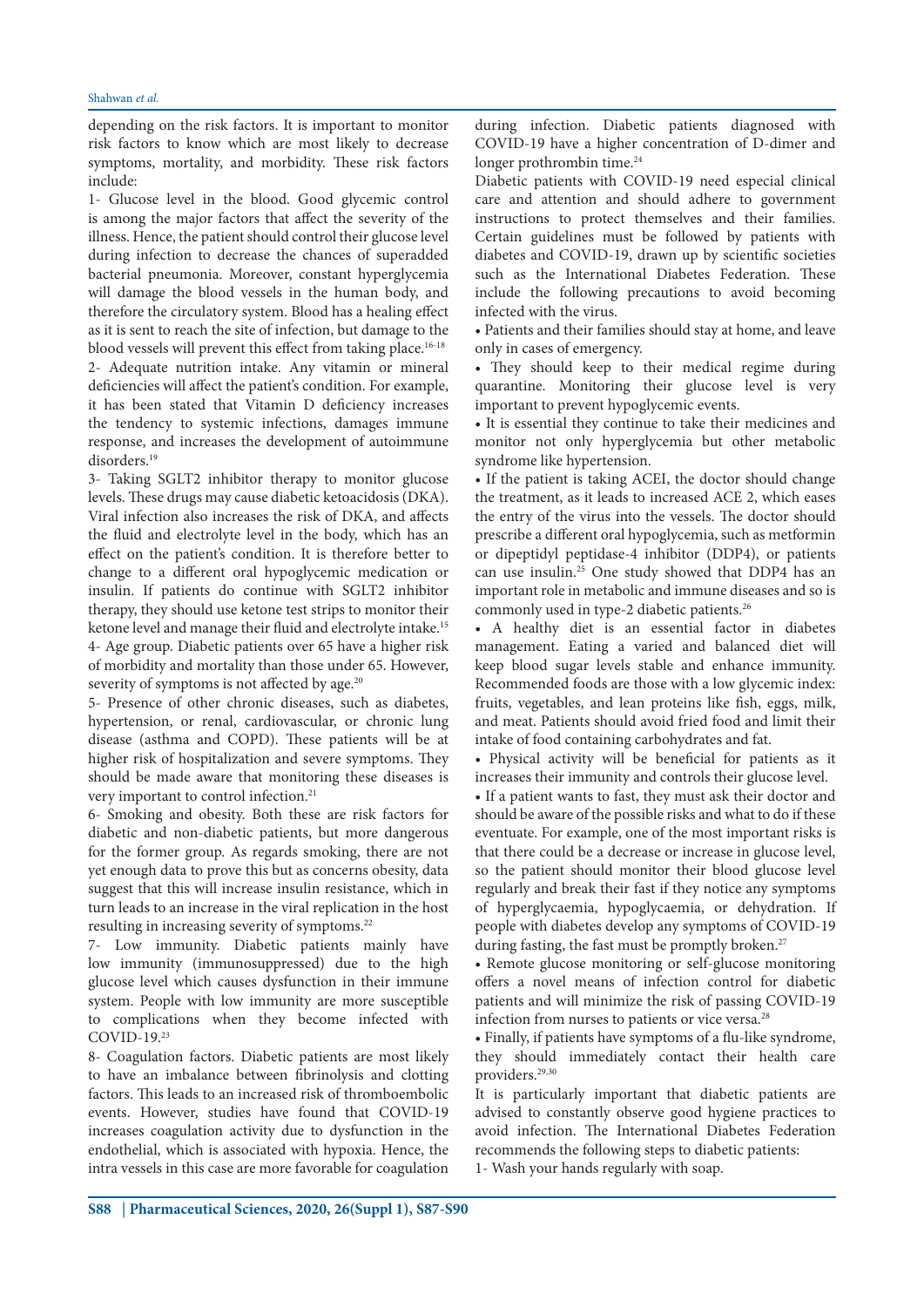depending on the risk factors. It is important to monitor risk factors to know which are most likely to decrease symptoms, mortality, and morbidity. These risk factors include:

1- Glucose level in the blood. Good glycemic control is among the major factors that affect the severity of the illness. Hence, the patient should control their glucose level during infection to decrease the chances of superadded bacterial pneumonia. Moreover, constant hyperglycemia will damage the blood vessels in the human body, and therefore the circulatory system. Blood has a healing effect as it is sent to reach the site of infection, but damage to the blood vessels will prevent this effect from taking place.<sup>16-18</sup> 2- Adequate nutrition intake. Any vitamin or mineral deficiencies will affect the patient's condition. For example, it has been stated that Vitamin D deficiency increases the tendency to systemic infections, damages immune response, and increases the development of autoimmune disorders.<sup>19</sup>

3- Taking SGLT2 inhibitor therapy to monitor glucose levels. These drugs may cause diabetic ketoacidosis (DKA). Viral infection also increases the risk of DKA, and affects the fluid and electrolyte level in the body, which has an effect on the patient's condition. It is therefore better to change to a different oral hypoglycemic medication or insulin. If patients do continue with SGLT2 inhibitor therapy, they should use ketone test strips to monitor their ketone level and manage their fluid and electrolyte intake.<sup>15</sup> 4- Age group. Diabetic patients over 65 have a higher risk of morbidity and mortality than those under 65. However, severity of symptoms is not affected by age.<sup>20</sup>

5- Presence of other chronic diseases, such as diabetes, hypertension, or renal, cardiovascular, or chronic lung disease (asthma and COPD). These patients will be at higher risk of hospitalization and severe symptoms. They should be made aware that monitoring these diseases is very important to control infection.<sup>21</sup>

6- Smoking and obesity. Both these are risk factors for diabetic and non-diabetic patients, but more dangerous for the former group. As regards smoking, there are not yet enough data to prove this but as concerns obesity, data suggest that this will increase insulin resistance, which in turn leads to an increase in the viral replication in the host resulting in increasing severity of symptoms.<sup>22</sup>

7- Low immunity. Diabetic patients mainly have low immunity (immunosuppressed) due to the high glucose level which causes dysfunction in their immune system. People with low immunity are more susceptible to complications when they become infected with COVID-19.<sup>23</sup>

8- Coagulation factors. Diabetic patients are most likely to have an imbalance between fibrinolysis and clotting factors. This leads to an increased risk of thromboembolic events. However, studies have found that COVID-19 increases coagulation activity due to dysfunction in the endothelial, which is associated with hypoxia. Hence, the intra vessels in this case are more favorable for coagulation

during infection. Diabetic patients diagnosed with COVID-19 have a higher concentration of D-dimer and longer prothrombin time.<sup>24</sup>

Diabetic patients with COVID-19 need especial clinical care and attention and should adhere to government instructions to protect themselves and their families. Certain guidelines must be followed by patients with diabetes and COVID-19, drawn up by scientific societies such as the International Diabetes Federation. These include the following precautions to avoid becoming infected with the virus.

• Patients and their families should stay at home, and leave only in cases of emergency.

• They should keep to their medical regime during quarantine. Monitoring their glucose level is very important to prevent hypoglycemic events.

• It is essential they continue to take their medicines and monitor not only hyperglycemia but other metabolic syndrome like hypertension.

• If the patient is taking ACEI, the doctor should change the treatment, as it leads to increased ACE 2, which eases the entry of the virus into the vessels. The doctor should prescribe a different oral hypoglycemia, such as metformin or dipeptidyl peptidase-4 inhibitor (DDP4), or patients can use insulin.<sup>25</sup> One study showed that DDP4 has an important role in metabolic and immune diseases and so is commonly used in type-2 diabetic patients.<sup>26</sup>

• A healthy diet is an essential factor in diabetes management. Eating a varied and balanced diet will keep blood sugar levels stable and enhance immunity. Recommended foods are those with a low glycemic index: fruits, vegetables, and lean proteins like fish, eggs, milk, and meat. Patients should avoid fried food and limit their intake of food containing carbohydrates and fat.

• Physical activity will be beneficial for patients as it increases their immunity and controls their glucose level.

• If a patient wants to fast, they must ask their doctor and should be aware of the possible risks and what to do if these eventuate. For example, one of the most important risks is that there could be a decrease or increase in glucose level, so the patient should monitor their blood glucose level regularly and break their fast if they notice any symptoms of hyperglycaemia, hypoglycaemia, or dehydration. If people with diabetes develop any symptoms of COVID‐19 during fasting, the fast must be promptly broken.<sup>27</sup>

• Remote glucose monitoring or self-glucose monitoring offers a novel means of infection control for diabetic patients and will minimize the risk of passing COVID-19 infection from nurses to patients or vice versa.<sup>28</sup>

• Finally, if patients have symptoms of a flu-like syndrome, they should immediately contact their health care providers.29,30

It is particularly important that diabetic patients are advised to constantly observe good hygiene practices to avoid infection. The International Diabetes Federation recommends the following steps to diabetic patients: 1- Wash your hands regularly with soap.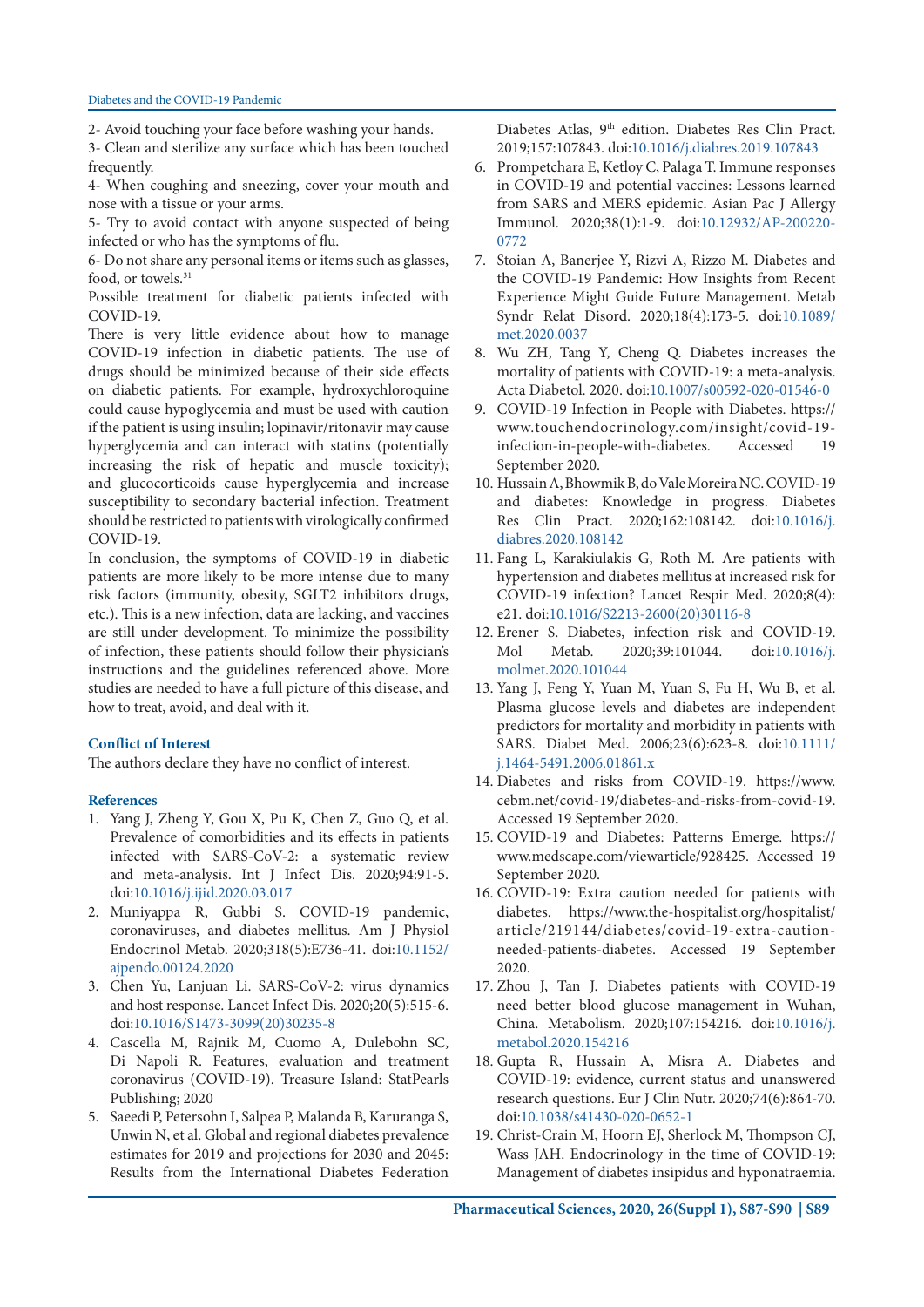2- Avoid touching your face before washing your hands.

3- Clean and sterilize any surface which has been touched frequently.

4- When coughing and sneezing, cover your mouth and nose with a tissue or your arms.

5- Try to avoid contact with anyone suspected of being infected or who has the symptoms of flu.

6- Do not share any personal items or items such as glasses, food, or towels.<sup>31</sup>

Possible treatment for diabetic patients infected with COVID-19.

There is very little evidence about how to manage COVID-19 infection in diabetic patients. The use of drugs should be minimized because of their side effects on diabetic patients. For example, hydroxychloroquine could cause hypoglycemia and must be used with caution if the patient is using insulin; lopinavir/ritonavir may cause hyperglycemia and can interact with statins (potentially increasing the risk of hepatic and muscle toxicity); and glucocorticoids cause hyperglycemia and increase susceptibility to secondary bacterial infection. Treatment should be restricted to patients with virologically confirmed COVID-19.

In conclusion, the symptoms of COVID-19 in diabetic patients are more likely to be more intense due to many risk factors (immunity, obesity, SGLT2 inhibitors drugs, etc.). This is a new infection, data are lacking, and vaccines are still under development. To minimize the possibility of infection, these patients should follow their physician's instructions and the guidelines referenced above. More studies are needed to have a full picture of this disease, and how to treat, avoid, and deal with it.

## **Conflict of Interest**

The authors declare they have no conflict of interest.

## **References**

- 1. Yang J, Zheng Y, Gou X, Pu K, Chen Z, Guo Q, et al. Prevalence of comorbidities and its effects in patients infected with SARS-CoV-2: a systematic review and meta-analysis. Int J Infect Dis. 2020;94:91-5. doi:10.1016/j.ijid.2020.03.017
- 2. Muniyappa R, Gubbi S. COVID-19 pandemic, coronaviruses, and diabetes mellitus. Am J Physiol Endocrinol Metab. 2020;318(5):E736-41. doi:10.1152/ ajpendo.00124.2020
- 3. Chen Yu, Lanjuan Li. SARS-CoV-2: virus dynamics and host response. Lancet Infect Dis. 2020;20(5):515-6. doi:10.1016/S1473-3099(20)30235-8
- 4. Cascella M, Rajnik M, Cuomo A, Dulebohn SC, Di Napoli R. Features, evaluation and treatment coronavirus (COVID-19). Treasure Island: StatPearls Publishing; 2020
- 5. Saeedi P, Petersohn I, Salpea P, Malanda B, Karuranga S, Unwin N, et al. Global and regional diabetes prevalence estimates for 2019 and projections for 2030 and 2045: Results from the International Diabetes Federation

Diabetes Atlas, 9th edition. Diabetes Res Clin Pract. 2019;157:107843. doi:10.1016/j.diabres.2019.107843

- 6. Prompetchara E, Ketloy C, Palaga T. Immune responses in COVID-19 and potential vaccines: Lessons learned from SARS and MERS epidemic. Asian Pac J Allergy Immunol. 2020;38(1):1-9. doi:10.12932/AP-200220- 0772
- 7. Stoian A, Banerjee Y, Rizvi A, Rizzo M. Diabetes and the COVID-19 Pandemic: How Insights from Recent Experience Might Guide Future Management. Metab Syndr Relat Disord. 2020;18(4):173-5. doi:10.1089/ met.2020.0037
- 8. Wu ZH, Tang Y, Cheng Q. Diabetes increases the mortality of patients with COVID-19: a meta-analysis. Acta Diabetol. 2020. doi:10.1007/s00592-020-01546-0
- 9. COVID-19 Infection in People with Diabetes. https:// www.touchendocrinology.com/insight/covid-19 infection-in-people-with-diabetes. Accessed 19 September 2020.
- 10. Hussain A, Bhowmik B, do Vale Moreira NC. COVID-19 and diabetes: Knowledge in progress. Diabetes Res Clin Pract. 2020;162:108142. doi:10.1016/j. diabres.2020.108142
- 11. Fang L, Karakiulakis G, Roth M. Are patients with hypertension and diabetes mellitus at increased risk for COVID-19 infection? Lancet Respir Med. 2020;8(4): e21. doi:10.1016/S2213-2600(20)30116-8
- 12. Erener S. Diabetes, infection risk and COVID-19. Mol Metab. 2020;39:101044. doi:10.1016/j. molmet.2020.101044
- 13. Yang J, Feng Y, Yuan M, Yuan S, Fu H, Wu B, et al. Plasma glucose levels and diabetes are independent predictors for mortality and morbidity in patients with SARS. Diabet Med. 2006;23(6):623-8. doi:10.1111/ j.1464-5491.2006.01861.x
- 14. Diabetes and risks from COVID-19. https://www. cebm.net/covid-19/diabetes-and-risks-from-covid-19. Accessed 19 September 2020.
- 15. COVID-19 and Diabetes: Patterns Emerge. https:// www.medscape.com/viewarticle/928425. Accessed 19 September 2020.
- 16. COVID-19: Extra caution needed for patients with diabetes. https://www.the-hospitalist.org/hospitalist/ article/219144/diabetes/covid-19-extra-cautionneeded-patients-diabetes. Accessed 19 September 2020.
- 17. Zhou J, Tan J. Diabetes patients with COVID-19 need better blood glucose management in Wuhan, China. Metabolism. 2020;107:154216. doi:10.1016/j. metabol.2020.154216
- 18. Gupta R, Hussain A, Misra A. Diabetes and COVID-19: evidence, current status and unanswered research questions. Eur J Clin Nutr. 2020;74(6):864-70. doi:10.1038/s41430-020-0652-1
- 19. Christ-Crain M, Hoorn EJ, Sherlock M, Thompson CJ, Wass JAH. Endocrinology in the time of COVID-19: Management of diabetes insipidus and hyponatraemia.